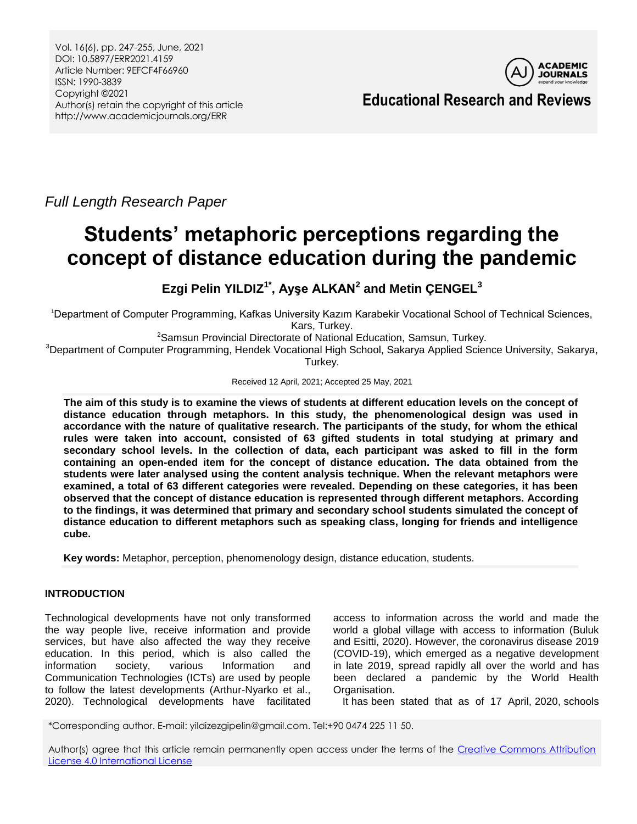Vol. 16(6), pp. 247-255, June, 2021 DOI: 10.5897/ERR2021.4159 Article Number: 9EFCF4F66960 ISSN: 1990-3839 Copyright ©2021 Author(s) retain the copyright of this article http://www.academicjournals.org/ERR



**Educational Research and Reviews**

*Full Length Research Paper*

# **Students' metaphoric perceptions regarding the concept of distance education during the pandemic**

**Ezgi Pelin YILDIZ1\* , Ayşe ALKAN<sup>2</sup> and Metin ÇENGEL<sup>3</sup>**

<sup>1</sup>Department of Computer Programming, Kafkas University Kazım Karabekir Vocational School of Technical Sciences, Kars, Turkey.

<sup>2</sup>Samsun Provincial Directorate of National Education, Samsun, Turkey.

<sup>3</sup>Department of Computer Programming, Hendek Vocational High School, Sakarya Applied Science University, Sakarya, Turkey.

Received 12 April, 2021; Accepted 25 May, 2021

**The aim of this study is to examine the views of students at different education levels on the concept of distance education through metaphors. In this study, the phenomenological design was used in accordance with the nature of qualitative research. The participants of the study, for whom the ethical rules were taken into account, consisted of 63 gifted students in total studying at primary and secondary school levels. In the collection of data, each participant was asked to fill in the form containing an open-ended item for the concept of distance education. The data obtained from the students were later analysed using the content analysis technique. When the relevant metaphors were examined, a total of 63 different categories were revealed. Depending on these categories, it has been observed that the concept of distance education is represented through different metaphors. According to the findings, it was determined that primary and secondary school students simulated the concept of distance education to different metaphors such as speaking class, longing for friends and intelligence cube.**

**Key words:** Metaphor, perception, phenomenology design, distance education, students.

# **INTRODUCTION**

Technological developments have not only transformed the way people live, receive information and provide services, but have also affected the way they receive education. In this period, which is also called the information society, various Information and Communication Technologies (ICTs) are used by people to follow the latest developments (Arthur-Nyarko et al., 2020). Technological developments have facilitated

access to information across the world and made the world a global village with access to information (Buluk and Esitti, 2020). However, the coronavirus disease 2019 (COVID-19), which emerged as a negative development in late 2019, spread rapidly all over the world and has been declared a pandemic by the World Health Organisation.

It has been stated that as of 17 April, 2020, schools

\*Corresponding author. E-mail: yildizezgipelin@gmail.com. Tel:+90 0474 225 11 50.

Author(s) agree that this article remain permanently open access under the terms of the Creative Commons Attribution [License 4.0 International License](http://creativecommons.org/licenses/by/4.0/deed.en_US)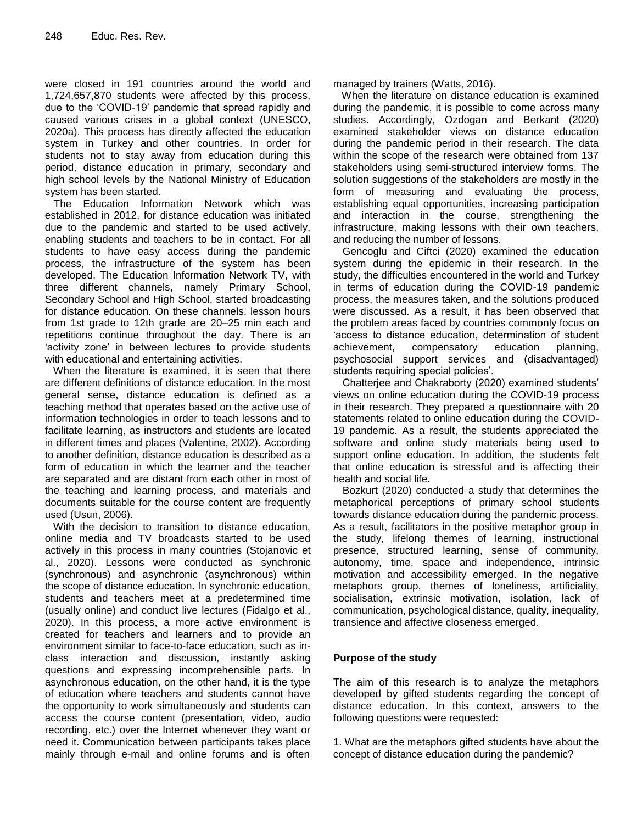were closed in 191 countries around the world and 1,724,657,870 students were affected by this process, due to the 'COVID-19' pandemic that spread rapidly and caused various crises in a global context (UNESCO, 2020a). This process has directly affected the education system in Turkey and other countries. In order for students not to stay away from education during this period, distance education in primary, secondary and high school levels by the National Ministry of Education system has been started.

 The Education Information Network which was established in 2012, for distance education was initiated due to the pandemic and started to be used actively, enabling students and teachers to be in contact. For all students to have easy access during the pandemic process, the infrastructure of the system has been developed. The Education Information Network TV, with three different channels, namely Primary School, Secondary School and High School, started broadcasting for distance education. On these channels, lesson hours from 1st grade to 12th grade are 20–25 min each and repetitions continue throughout the day. There is an 'activity zone' in between lectures to provide students with educational and entertaining activities.

 When the literature is examined, it is seen that there are different definitions of distance education. In the most general sense, distance education is defined as a teaching method that operates based on the active use of information technologies in order to teach lessons and to facilitate learning, as instructors and students are located in different times and places (Valentine, 2002). According to another definition, distance education is described as a form of education in which the learner and the teacher are separated and are distant from each other in most of the teaching and learning process, and materials and documents suitable for the course content are frequently used (Usun, 2006).

 With the decision to transition to distance education, online media and TV broadcasts started to be used actively in this process in many countries (Stojanovic et al., 2020). Lessons were conducted as synchronic (synchronous) and asynchronic (asynchronous) within the scope of distance education. In synchronic education, students and teachers meet at a predetermined time (usually online) and conduct live lectures (Fidalgo et al., 2020). In this process, a more active environment is created for teachers and learners and to provide an environment similar to face-to-face education, such as inclass interaction and discussion, instantly asking questions and expressing incomprehensible parts. In asynchronous education, on the other hand, it is the type of education where teachers and students cannot have the opportunity to work simultaneously and students can access the course content (presentation, video, audio recording, etc.) over the Internet whenever they want or need it. Communication between participants takes place mainly through e-mail and online forums and is often

managed by trainers (Watts, 2016).

 When the literature on distance education is examined during the pandemic, it is possible to come across many studies. Accordingly, Ozdogan and Berkant (2020) examined stakeholder views on distance education during the pandemic period in their research. The data within the scope of the research were obtained from 137 stakeholders using semi-structured interview forms. The solution suggestions of the stakeholders are mostly in the form of measuring and evaluating the process, establishing equal opportunities, increasing participation and interaction in the course, strengthening the infrastructure, making lessons with their own teachers, and reducing the number of lessons.

Gencoglu and Ciftci (2020) examined the education system during the epidemic in their research. In the study, the difficulties encountered in the world and Turkey in terms of education during the COVID-19 pandemic process, the measures taken, and the solutions produced were discussed. As a result, it has been observed that the problem areas faced by countries commonly focus on 'access to distance education, determination of student achievement, compensatory education planning, psychosocial support services and (disadvantaged) students requiring special policies'.

Chatterjee and Chakraborty (2020) examined students' views on online education during the COVID-19 process in their research. They prepared a questionnaire with 20 statements related to online education during the COVID-19 pandemic. As a result, the students appreciated the software and online study materials being used to support online education. In addition, the students felt that online education is stressful and is affecting their health and social life.

Bozkurt (2020) conducted a study that determines the metaphorical perceptions of primary school students towards distance education during the pandemic process. As a result, facilitators in the positive metaphor group in the study, lifelong themes of learning, instructional presence, structured learning, sense of community, autonomy, time, space and independence, intrinsic motivation and accessibility emerged. In the negative metaphors group, themes of loneliness, artificiality, socialisation, extrinsic motivation, isolation, lack of communication, psychological distance, quality, inequality, transience and affective closeness emerged.

# **Purpose of the study**

The aim of this research is to analyze the metaphors developed by gifted students regarding the concept of distance education. In this context, answers to the following questions were requested:

1. What are the metaphors gifted students have about the concept of distance education during the pandemic?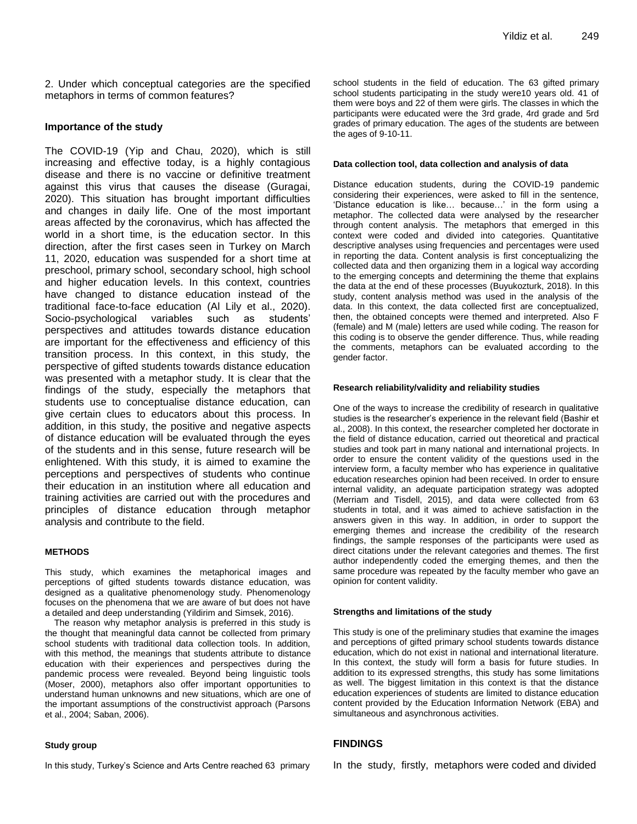2. Under which conceptual categories are the specified metaphors in terms of common features?

#### **Importance of the study**

The COVID-19 (Yip and Chau, 2020), which is still increasing and effective today, is a highly contagious disease and there is no vaccine or definitive treatment against this virus that causes the disease (Guragai, 2020). This situation has brought important difficulties and changes in daily life. One of the most important areas affected by the coronavirus, which has affected the world in a short time, is the education sector. In this direction, after the first cases seen in Turkey on March 11, 2020, education was suspended for a short time at preschool, primary school, secondary school, high school and higher education levels. In this context, countries have changed to distance education instead of the traditional face-to-face education (Al Lily et al., 2020). Socio-psychological variables such as students' perspectives and attitudes towards distance education are important for the effectiveness and efficiency of this transition process. In this context, in this study, the perspective of gifted students towards distance education was presented with a metaphor study. It is clear that the findings of the study, especially the metaphors that students use to conceptualise distance education, can give certain clues to educators about this process. In addition, in this study, the positive and negative aspects of distance education will be evaluated through the eyes of the students and in this sense, future research will be enlightened. With this study, it is aimed to examine the perceptions and perspectives of students who continue their education in an institution where all education and training activities are carried out with the procedures and principles of distance education through metaphor analysis and contribute to the field.

#### **METHODS**

This study, which examines the metaphorical images and perceptions of gifted students towards distance education, was designed as a qualitative phenomenology study. Phenomenology focuses on the phenomena that we are aware of but does not have a detailed and deep understanding (Yildirim and Simsek, 2016).

The reason why metaphor analysis is preferred in this study is the thought that meaningful data cannot be collected from primary school students with traditional data collection tools. In addition, with this method, the meanings that students attribute to distance education with their experiences and perspectives during the pandemic process were revealed. Beyond being linguistic tools (Moser, 2000), metaphors also offer important opportunities to understand human unknowns and new situations, which are one of the important assumptions of the constructivist approach (Parsons et al., 2004; Saban, 2006).

#### **Study group**

In this study, Turkey's Science and Arts Centre reached 63 primary

school students in the field of education. The 63 gifted primary school students participating in the study were10 years old. 41 of them were boys and 22 of them were girls. The classes in which the participants were educated were the 3rd grade, 4rd grade and 5rd grades of primary education. The ages of the students are between the ages of 9-10-11.

#### **Data collection tool, data collection and analysis of data**

Distance education students, during the COVID-19 pandemic considering their experiences, were asked to fill in the sentence, 'Distance education is like… because…' in the form using a metaphor. The collected data were analysed by the researcher through content analysis. The metaphors that emerged in this context were coded and divided into categories. Quantitative descriptive analyses using frequencies and percentages were used in reporting the data. Content analysis is first conceptualizing the collected data and then organizing them in a logical way according to the emerging concepts and determining the theme that explains the data at the end of these processes (Buyukozturk, 2018). In this study, content analysis method was used in the analysis of the data. In this context, the data collected first are conceptualized, then, the obtained concepts were themed and interpreted. Also F (female) and M (male) letters are used while coding. The reason for this coding is to observe the gender difference. Thus, while reading the comments, metaphors can be evaluated according to the gender factor.

#### **Research reliability/validity and reliability studies**

One of the ways to increase the credibility of research in qualitative studies is the researcher's experience in the relevant field (Bashir et al., 2008). In this context, the researcher completed her doctorate in the field of distance education, carried out theoretical and practical studies and took part in many national and international projects. In order to ensure the content validity of the questions used in the interview form, a faculty member who has experience in qualitative education researches opinion had been received. In order to ensure internal validity, an adequate participation strategy was adopted (Merriam and Tisdell, 2015), and data were collected from 63 students in total, and it was aimed to achieve satisfaction in the answers given in this way. In addition, in order to support the emerging themes and increase the credibility of the research findings, the sample responses of the participants were used as direct citations under the relevant categories and themes. The first author independently coded the emerging themes, and then the same procedure was repeated by the faculty member who gave an opinion for content validity.

#### **Strengths and limitations of the study**

This study is one of the preliminary studies that examine the images and perceptions of gifted primary school students towards distance education, which do not exist in national and international literature. In this context, the study will form a basis for future studies. In addition to its expressed strengths, this study has some limitations as well. The biggest limitation in this context is that the distance education experiences of students are limited to distance education content provided by the Education Information Network (EBA) and simultaneous and asynchronous activities.

#### **FINDINGS**

In the study, firstly, metaphors were coded and divided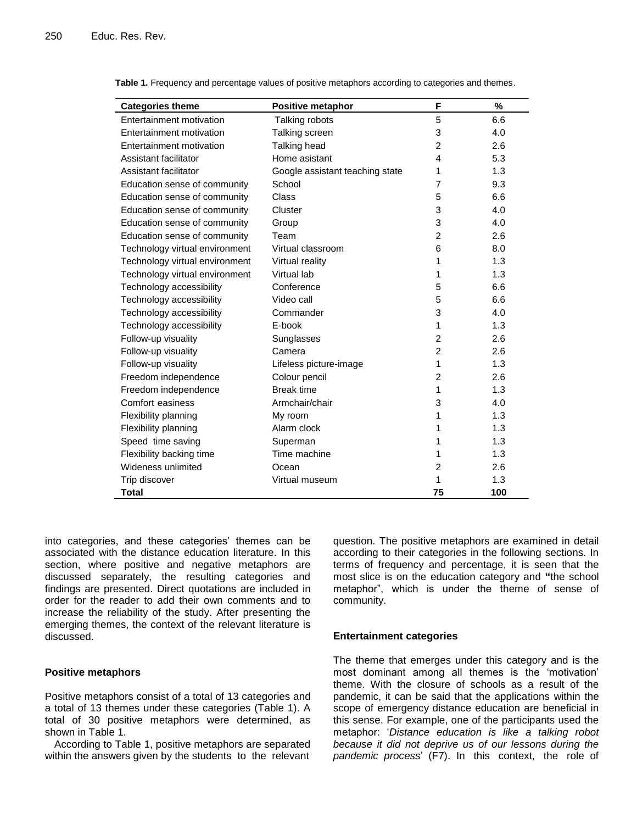| <b>Categories theme</b>        | Positive metaphor               | F              | %   |
|--------------------------------|---------------------------------|----------------|-----|
| Entertainment motivation       | Talking robots                  | 5              | 6.6 |
| Entertainment motivation       | Talking screen                  | 3              | 4.0 |
| Entertainment motivation       | Talking head                    | $\overline{2}$ | 2.6 |
| Assistant facilitator          | Home asistant                   | 4              | 5.3 |
| Assistant facilitator          | Google assistant teaching state | 1              | 1.3 |
| Education sense of community   | School                          | $\overline{7}$ | 9.3 |
| Education sense of community   | Class                           | 5              | 6.6 |
| Education sense of community   | Cluster                         | 3              | 4.0 |
| Education sense of community   | Group                           | 3              | 4.0 |
| Education sense of community   | Team                            | $\overline{2}$ | 2.6 |
| Technology virtual environment | Virtual classroom               | 6              | 8.0 |
| Technology virtual environment | Virtual reality                 | 1              | 1.3 |
| Technology virtual environment | Virtual lab                     | 1              | 1.3 |
| Technology accessibility       | Conference                      | 5              | 6.6 |
| Technology accessibility       | Video call                      | 5              | 6.6 |
| Technology accessibility       | Commander                       | 3              | 4.0 |
| Technology accessibility       | E-book                          | 1              | 1.3 |
| Follow-up visuality            | Sunglasses                      | $\overline{2}$ | 2.6 |
| Follow-up visuality            | Camera                          | $\overline{c}$ | 2.6 |
| Follow-up visuality            | Lifeless picture-image          | 1              | 1.3 |
| Freedom independence           | Colour pencil                   | $\overline{2}$ | 2.6 |
| Freedom independence           | <b>Break time</b>               | 1              | 1.3 |
| Comfort easiness               | Armchair/chair                  | 3              | 4.0 |
| Flexibility planning           | My room                         | 1              | 1.3 |
| Flexibility planning           | Alarm clock                     | 1              | 1.3 |
| Speed time saving              | Superman                        | 1              | 1.3 |
| Flexibility backing time       | Time machine                    | 1              | 1.3 |
| Wideness unlimited             | Ocean                           | $\overline{2}$ | 2.6 |
| Trip discover                  | Virtual museum                  | 1              | 1.3 |
| <b>Total</b>                   |                                 | 75             | 100 |

**Table 1.** Frequency and percentage values of positive metaphors according to categories and themes.

into categories, and these categories' themes can be associated with the distance education literature. In this section, where positive and negative metaphors are discussed separately, the resulting categories and findings are presented. Direct quotations are included in order for the reader to add their own comments and to increase the reliability of the study. After presenting the emerging themes, the context of the relevant literature is discussed.

## **Positive metaphors**

Positive metaphors consist of a total of 13 categories and a total of 13 themes under these categories (Table 1). A total of 30 positive metaphors were determined, as shown in Table 1.

According to Table 1, positive metaphors are separated within the answers given by the students to the relevant

question. The positive metaphors are examined in detail according to their categories in the following sections. In terms of frequency and percentage, it is seen that the most slice is on the education category and **"**the school metaphor", which is under the theme of sense of community.

## **Entertainment categories**

The theme that emerges under this category and is the most dominant among all themes is the 'motivation' theme. With the closure of schools as a result of the pandemic, it can be said that the applications within the scope of emergency distance education are beneficial in this sense. For example, one of the participants used the metaphor: '*Distance education is like a talking robot because it did not deprive us of our lessons during the pandemic process*' (F7). In this context, the role of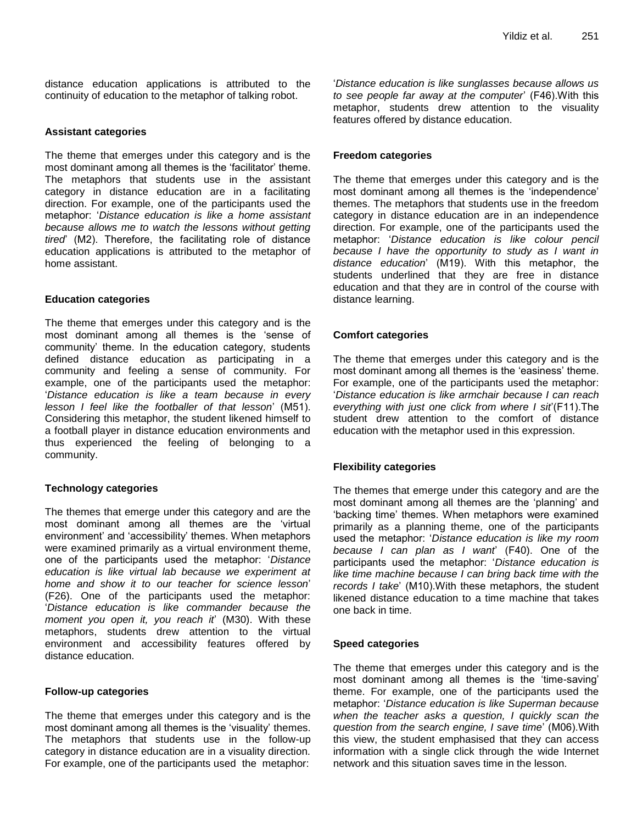distance education applications is attributed to the continuity of education to the metaphor of talking robot.

# **Assistant categories**

The theme that emerges under this category and is the most dominant among all themes is the 'facilitator' theme. The metaphors that students use in the assistant category in distance education are in a facilitating direction. For example, one of the participants used the metaphor: '*Distance education is like a home assistant because allows me to watch the lessons without getting tired*' (M2). Therefore, the facilitating role of distance education applications is attributed to the metaphor of home assistant.

## **Education categories**

The theme that emerges under this category and is the most dominant among all themes is the 'sense of community' theme. In the education category, students defined distance education as participating in a community and feeling a sense of community. For example, one of the participants used the metaphor: '*Distance education is like a team because in every lesson I feel like the footballer of that lesson*' (M51). Considering this metaphor, the student likened himself to a football player in distance education environments and thus experienced the feeling of belonging to a community.

## **Technology categories**

The themes that emerge under this category and are the most dominant among all themes are the 'virtual environment' and 'accessibility' themes. When metaphors were examined primarily as a virtual environment theme, one of the participants used the metaphor: '*Distance education is like virtual lab because we experiment at home and show it to our teacher for science lesson*' (F26). One of the participants used the metaphor: '*Distance education is like commander because the moment you open it, you reach it*' (M30). With these metaphors, students drew attention to the virtual environment and accessibility features offered by distance education.

## **Follow-up categories**

The theme that emerges under this category and is the most dominant among all themes is the 'visuality' themes. The metaphors that students use in the follow-up category in distance education are in a visuality direction. For example, one of the participants used the metaphor:

'*Distance education is like sunglasses because allows us to see people far away at the computer*' (F46).With this metaphor, students drew attention to the visuality features offered by distance education.

#### **Freedom categories**

The theme that emerges under this category and is the most dominant among all themes is the 'independence' themes. The metaphors that students use in the freedom category in distance education are in an independence direction. For example, one of the participants used the metaphor: '*Distance education is like colour pencil because I have the opportunity to study as I want in distance education*' (M19). With this metaphor, the students underlined that they are free in distance education and that they are in control of the course with distance learning.

## **Comfort categories**

The theme that emerges under this category and is the most dominant among all themes is the 'easiness' theme. For example, one of the participants used the metaphor: '*Distance education is like armchair because I can reach everything with just one click from where I sit*'(F11).The student drew attention to the comfort of distance education with the metaphor used in this expression.

## **Flexibility categories**

The themes that emerge under this category and are the most dominant among all themes are the 'planning' and 'backing time' themes. When metaphors were examined primarily as a planning theme, one of the participants used the metaphor: '*Distance education is like my room because I can plan as I want*' (F40). One of the participants used the metaphor: '*Distance education is like time machine because I can bring back time with the records I take*' (M10).With these metaphors, the student likened distance education to a time machine that takes one back in time.

## **Speed categories**

The theme that emerges under this category and is the most dominant among all themes is the 'time-saving' theme. For example, one of the participants used the metaphor: '*Distance education is like Superman because when the teacher asks a question, I quickly scan the question from the search engine, I save time*' (M06).With this view, the student emphasised that they can access information with a single click through the wide Internet network and this situation saves time in the lesson.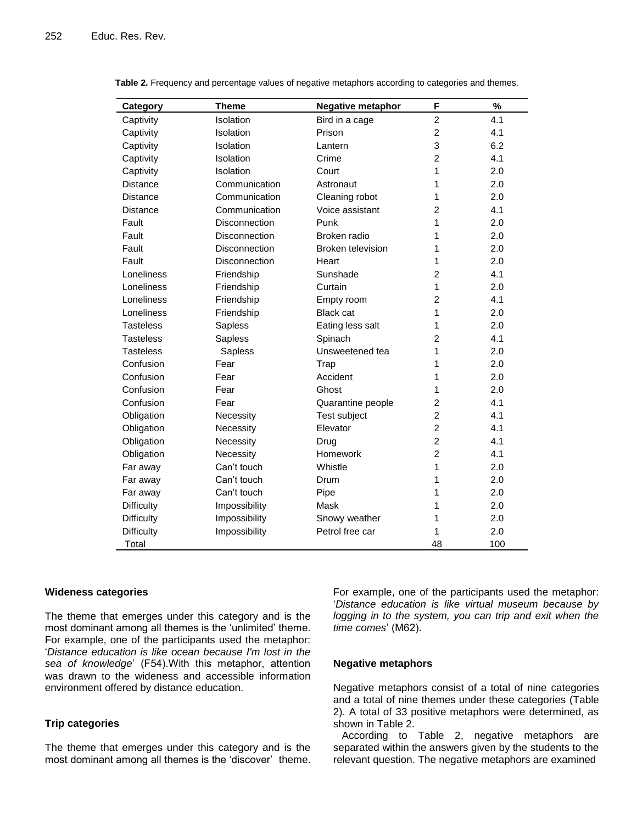| Category          | <b>Theme</b>         | <b>Negative metaphor</b> | F              | %   |
|-------------------|----------------------|--------------------------|----------------|-----|
| Captivity         | Isolation            | Bird in a cage           | $\overline{c}$ | 4.1 |
| Captivity         | <b>Isolation</b>     | Prison                   | $\overline{c}$ | 4.1 |
| Captivity         | Isolation            | Lantern                  | 3              | 6.2 |
| Captivity         | Isolation            | Crime                    | $\overline{2}$ | 4.1 |
| Captivity         | Isolation            | Court                    | 1              | 2.0 |
| <b>Distance</b>   | Communication        | Astronaut                | 1              | 2.0 |
| <b>Distance</b>   | Communication        | Cleaning robot           | 1              | 2.0 |
| <b>Distance</b>   | Communication        | Voice assistant          | $\overline{c}$ | 4.1 |
| Fault             | Disconnection        | Punk                     | 1              | 2.0 |
| Fault             | <b>Disconnection</b> | Broken radio             | 1              | 2.0 |
| Fault             | <b>Disconnection</b> | <b>Broken television</b> | 1              | 2.0 |
| Fault             | <b>Disconnection</b> | Heart                    | 1              | 2.0 |
| Loneliness        | Friendship           | Sunshade                 | $\overline{2}$ | 4.1 |
| Loneliness        | Friendship           | Curtain                  | 1              | 2.0 |
| Loneliness        | Friendship           | Empty room               | $\overline{2}$ | 4.1 |
| Loneliness        | Friendship           | <b>Black cat</b>         | 1              | 2.0 |
| <b>Tasteless</b>  | Sapless              | Eating less salt         | 1              | 2.0 |
| <b>Tasteless</b>  | Sapless              | Spinach                  | $\overline{2}$ | 4.1 |
| <b>Tasteless</b>  | Sapless              | Unsweetened tea          | 1              | 2.0 |
| Confusion         | Fear                 | Trap                     | 1              | 2.0 |
| Confusion         | Fear                 | Accident                 | 1              | 2.0 |
| Confusion         | Fear                 | Ghost                    | 1              | 2.0 |
| Confusion         | Fear                 | Quarantine people        | $\overline{2}$ | 4.1 |
| Obligation        | Necessity            | Test subject             | $\overline{2}$ | 4.1 |
| Obligation        | Necessity            | Elevator                 | $\overline{c}$ | 4.1 |
| Obligation        | Necessity            | Drug                     | $\overline{c}$ | 4.1 |
| Obligation        | Necessity            | Homework                 | $\overline{2}$ | 4.1 |
| Far away          | Can't touch          | Whistle                  | 1              | 2.0 |
| Far away          | Can't touch          | Drum                     | 1              | 2.0 |
| Far away          | Can't touch          | Pipe                     | 1              | 2.0 |
| <b>Difficulty</b> | Impossibility        | Mask                     | 1              | 2.0 |
| <b>Difficulty</b> | Impossibility        | Snowy weather            | 1              | 2.0 |
| <b>Difficulty</b> | Impossibility        | Petrol free car          | 1              | 2.0 |
| Total             |                      |                          | 48             | 100 |

| Table 2. Frequency and percentage values of negative metaphors according to categories and themes. |  |  |  |
|----------------------------------------------------------------------------------------------------|--|--|--|
|                                                                                                    |  |  |  |

#### **Wideness categories**

The theme that emerges under this category and is the most dominant among all themes is the 'unlimited' theme. For example, one of the participants used the metaphor: '*Distance education is like ocean because I'm lost in the sea of knowledge*' (F54).With this metaphor, attention was drawn to the wideness and accessible information environment offered by distance education.

## **Trip categories**

The theme that emerges under this category and is the most dominant among all themes is the 'discover' theme. For example, one of the participants used the metaphor: '*Distance education is like virtual museum because by*  logging in to the system, you can trip and exit when the *time comes*' (M62).

#### **Negative metaphors**

Negative metaphors consist of a total of nine categories and a total of nine themes under these categories (Table 2). A total of 33 positive metaphors were determined, as shown in Table 2.

 According to Table 2, negative metaphors are separated within the answers given by the students to the relevant question. The negative metaphors are examined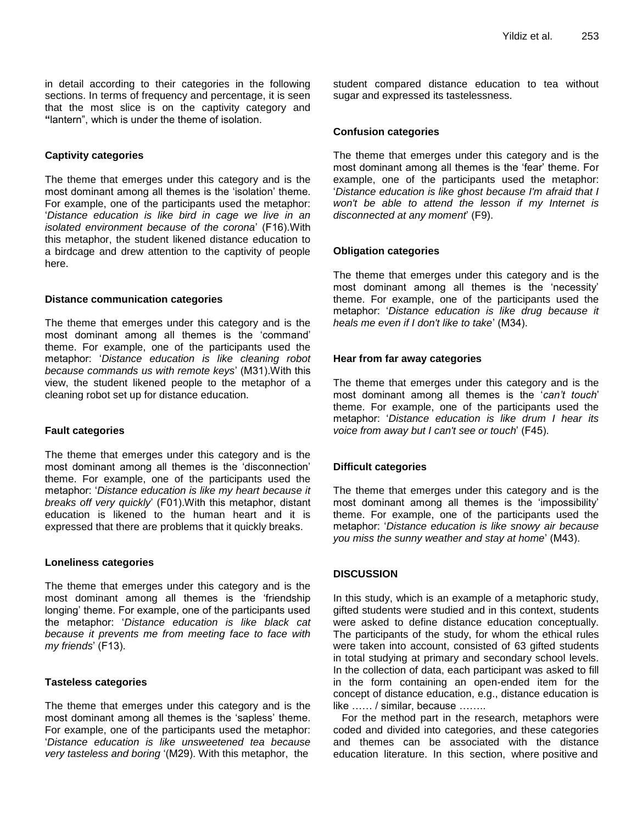in detail according to their categories in the following sections. In terms of frequency and percentage, it is seen that the most slice is on the captivity category and **"**lantern", which is under the theme of isolation.

## **Captivity categories**

The theme that emerges under this category and is the most dominant among all themes is the 'isolation' theme. For example, one of the participants used the metaphor: '*Distance education is like bird in cage we live in an isolated environment because of the corona*' (F16).With this metaphor, the student likened distance education to a birdcage and drew attention to the captivity of people here.

## **Distance communication categories**

The theme that emerges under this category and is the most dominant among all themes is the 'command' theme. For example, one of the participants used the metaphor: '*Distance education is like cleaning robot because commands us with remote keys*' (M31).With this view, the student likened people to the metaphor of a cleaning robot set up for distance education.

# **Fault categories**

The theme that emerges under this category and is the most dominant among all themes is the 'disconnection' theme. For example, one of the participants used the metaphor: '*Distance education is like my heart because it breaks off very quickly*' (F01).With this metaphor, distant education is likened to the human heart and it is expressed that there are problems that it quickly breaks.

## **Loneliness categories**

The theme that emerges under this category and is the most dominant among all themes is the 'friendship longing' theme. For example, one of the participants used the metaphor: '*Distance education is like black cat because it prevents me from meeting face to face with my friends*' (F13).

## **Tasteless categories**

The theme that emerges under this category and is the most dominant among all themes is the 'sapless' theme. For example, one of the participants used the metaphor: '*Distance education is like unsweetened tea because very tasteless and boring* '(M29). With this metaphor, the

student compared distance education to tea without sugar and expressed its tastelessness.

# **Confusion categories**

The theme that emerges under this category and is the most dominant among all themes is the 'fear' theme. For example, one of the participants used the metaphor: '*Distance education is like ghost because I'm afraid that I won't be able to attend the lesson if my Internet is disconnected at any moment*' (F9).

## **Obligation categories**

The theme that emerges under this category and is the most dominant among all themes is the 'necessity' theme. For example, one of the participants used the metaphor: '*Distance education is like drug because it heals me even if I don't like to take*' (M34).

## **Hear from far away categories**

The theme that emerges under this category and is the most dominant among all themes is the '*can't touch*' theme. For example, one of the participants used the metaphor: '*Distance education is like drum I hear its voice from away but I can't see or touch*' (F45).

# **Difficult categories**

The theme that emerges under this category and is the most dominant among all themes is the 'impossibility' theme. For example, one of the participants used the metaphor: '*Distance education is like snowy air because you miss the sunny weather and stay at home*' (M43).

# **DISCUSSION**

In this study, which is an example of a metaphoric study, gifted students were studied and in this context, students were asked to define distance education conceptually. The participants of the study, for whom the ethical rules were taken into account, consisted of 63 gifted students in total studying at primary and secondary school levels. In the collection of data, each participant was asked to fill in the form containing an open-ended item for the concept of distance education, e.g., distance education is like …… / similar, because ………

 For the method part in the research, metaphors were coded and divided into categories, and these categories and themes can be associated with the distance education literature. In this section, where positive and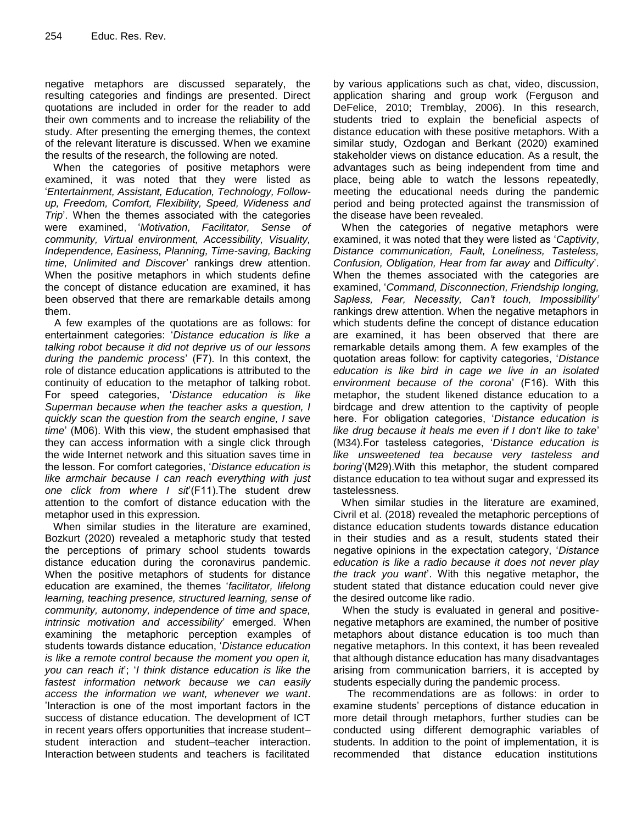negative metaphors are discussed separately, the resulting categories and findings are presented. Direct quotations are included in order for the reader to add their own comments and to increase the reliability of the study. After presenting the emerging themes, the context of the relevant literature is discussed. When we examine the results of the research, the following are noted.

 When the categories of positive metaphors were examined, it was noted that they were listed as '*Entertainment, Assistant, Education, Technology, Followup, Freedom, Comfort, Flexibility, Speed, Wideness and Trip*'. When the themes associated with the categories were examined, '*Motivation, Facilitator, Sense of community, Virtual environment, Accessibility, Visuality, Independence, Easiness, Planning, Time-saving, Backing time, Unlimited and Discover*' rankings drew attention. When the positive metaphors in which students define the concept of distance education are examined, it has been observed that there are remarkable details among them.

A few examples of the quotations are as follows: for entertainment categories: '*Distance education is like a talking robot because it did not deprive us of our lessons during the pandemic process*' (F7). In this context, the role of distance education applications is attributed to the continuity of education to the metaphor of talking robot. For speed categories, '*Distance education is like Superman because when the teacher asks a question, I quickly scan the question from the search engine, I save time*' (M06). With this view, the student emphasised that they can access information with a single click through the wide Internet network and this situation saves time in the lesson. For comfort categories, '*Distance education is like armchair because I can reach everything with just one click from where I sit*'(F11).The student drew attention to the comfort of distance education with the metaphor used in this expression.

 When similar studies in the literature are examined, Bozkurt (2020) revealed a metaphoric study that tested the perceptions of primary school students towards distance education during the coronavirus pandemic. When the positive metaphors of students for distance education are examined, the themes '*facilitator, lifelong learning, teaching presence, structured learning, sense of community, autonomy, independence of time and space, intrinsic motivation and accessibility*' emerged. When examining the metaphoric perception examples of students towards distance education, '*Distance education is like a remote control because the moment you open it, you can reach it*'; '*I think distance education is like the fastest information network because we can easily access the information we want, whenever we want*. 'Interaction is one of the most important factors in the success of distance education. The development of ICT in recent years offers opportunities that increase student– student interaction and student–teacher interaction. Interaction between students and teachers is facilitated

by various applications such as chat, video, discussion, application sharing and group work (Ferguson and DeFelice, 2010; Tremblay, 2006). In this research, students tried to explain the beneficial aspects of distance education with these positive metaphors. With a similar study, Ozdogan and Berkant (2020) examined stakeholder views on distance education. As a result, the advantages such as being independent from time and place, being able to watch the lessons repeatedly, meeting the educational needs during the pandemic period and being protected against the transmission of the disease have been revealed.

 When the categories of negative metaphors were examined, it was noted that they were listed as '*Captivity*, *Distance communication, Fault, Loneliness, Tasteless, Confusion, Obligation, Hear from far away* and *Difficulty*'. When the themes associated with the categories are examined, '*Command, Disconnection, Friendship longing, Sapless, Fear, Necessity, Can't touch, Impossibility'* rankings drew attention. When the negative metaphors in which students define the concept of distance education are examined, it has been observed that there are remarkable details among them. A few examples of the quotation areas follow: for captivity categories, '*Distance education is like bird in cage we live in an isolated environment because of the corona*' (F16). With this metaphor, the student likened distance education to a birdcage and drew attention to the captivity of people here. For obligation categories, '*Distance education is like drug because it heals me even if I don't like to take*' (M34)*.*For tasteless categories, '*Distance education is like unsweetened tea because very tasteless and boring*'(M29).With this metaphor, the student compared distance education to tea without sugar and expressed its tastelessness.

 When similar studies in the literature are examined, Civril et al. (2018) revealed the metaphoric perceptions of distance education students towards distance education in their studies and as a result, students stated their negative opinions in the expectation category, '*Distance education is like a radio because it does not never play the track you want*'. With this negative metaphor, the student stated that distance education could never give the desired outcome like radio.

When the study is evaluated in general and positivenegative metaphors are examined, the number of positive metaphors about distance education is too much than negative metaphors. In this context, it has been revealed that although distance education has many disadvantages arising from communication barriers, it is accepted by students especially during the pandemic process.

The recommendations are as follows: in order to examine students' perceptions of distance education in more detail through metaphors, further studies can be conducted using different demographic variables of students. In addition to the point of implementation, it is recommended that distance education institutions